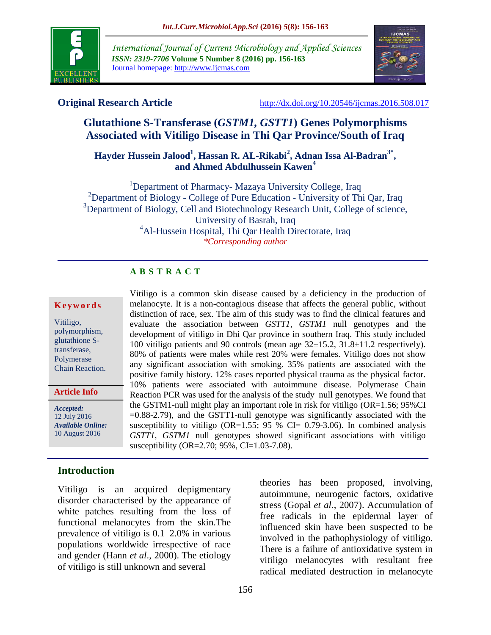

*International Journal of Current Microbiology and Applied Sciences ISSN: 2319-7706* **Volume 5 Number 8 (2016) pp. 156-163** Journal homepage: http://www.ijcmas.com



**Original Research Article** <http://dx.doi.org/10.20546/ijcmas.2016.508.017>

# **Glutathione S-Transferase (***GSTM1, GSTT1***) Genes Polymorphisms Associated with Vitiligo Disease in Thi Qar Province/South of Iraq**

# **Hayder Hussein Jalood<sup>1</sup> , Hassan R. AL-Rikabi<sup>2</sup> , Adnan Issa Al-Badran3\* , and Ahmed Abdulhussein Kawen<sup>4</sup>**

<sup>1</sup>Department of Pharmacy- Mazaya University College, Iraq <sup>2</sup>Department of Biology - College of Pure Education - University of Thi Qar, Iraq  $3$ Department of Biology, Cell and Biotechnology Research Unit, College of science, University of Basrah, Iraq <sup>4</sup>Al-Hussein Hospital, Thi Qar Health Directorate, Iraq *\*Corresponding author*

> Vitiligo is a common skin disease caused by a deficiency in the production of melanocyte. It is a non-contagious disease that affects the general public, without distinction of race, sex. The aim of this study was to find the clinical features and evaluate the association between *GSTT1, GSTM1* null genotypes and the development of vitiligo in Dhi Qar province in southern Iraq. This study included 100 vitiligo patients and 90 controls (mean age 32±15.2, 31.8±11.2 respectively). 80% of patients were males while rest 20% were females. Vitiligo does not show any significant association with smoking. 35% patients are associated with the positive family history. 12% cases reported physical trauma as the physical factor. 10% patients were associated with autoimmune disease. Polymerase Chain Reaction PCR was used for the analysis of the study null genotypes. We found that the GSTM1-null might play an important role in risk for vitiligo (OR=1.56; 95%CI  $=0.88-2.79$ ), and the GSTT1-null genotype was significantly associated with the susceptibility to vitiligo (OR=1.55; 95 % CI= 0.79-3.06). In combined analysis *GSTT1, GSTM1* null genotypes showed significant associations with vitiligo

# **A B S T R A C T**

#### **K e y w o r d s**

Vitiligo, polymorphism, glutathione Stransferase, Polymerase Chain Reaction.

**Article Info**

*Accepted:*  12 July 2016 *Available Online:* 10 August 2016

# **Introduction**

Vitiligo is an acquired depigmentary disorder characterised by the appearance of white patches resulting from the loss of functional melanocytes from the skin.The prevalence of vitiligo is 0.1–2.0% in various populations worldwide irrespective of race and gender (Hann *et al*., 2000). The etiology of vitiligo is still unknown and several

theories has been proposed, involving, autoimmune, neurogenic factors, oxidative stress (Gopal *et al*., 2007). Accumulation of free radicals in the epidermal layer of influenced skin have been suspected to be involved in the pathophysiology of vitiligo. There is a failure of antioxidative system in vitiligo melanocytes with resultant free radical mediated destruction in melanocyte

susceptibility (OR=2.70; 95%, CI=1.03-7.08).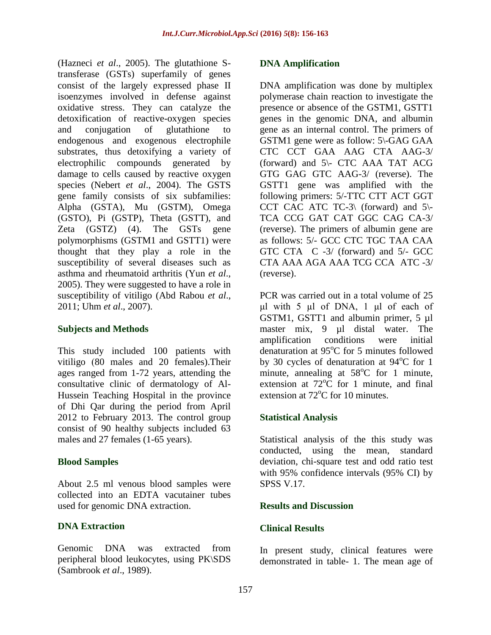(Hazneci *et al*., 2005). The glutathione Stransferase (GSTs) superfamily of genes consist of the largely expressed phase II isoenzymes involved in defense against oxidative stress. They can catalyze the detoxification of reactive-oxygen species and conjugation of glutathione to endogenous and exogenous electrophile substrates, thus detoxifying a variety of electrophilic compounds generated by damage to cells caused by reactive oxygen species (Nebert *et al*., 2004). The GSTS gene family consists of six subfamilies: Alpha (GSTA), Mu (GSTM), Omega (GSTO), Pi (GSTP), Theta (GSTT), and Zeta (GSTZ) (4). The GSTs gene polymorphisms (GSTM1 and GSTT1) were thought that they play a role in the susceptibility of several diseases such as asthma and rheumatoid arthritis (Yun *et al*., 2005). They were suggested to have a role in susceptibility of vitiligo (Abd Rabou *et al*., 2011; Uhm *et al*., 2007).

# **Subjects and Methods**

This study included 100 patients with vitiligo (80 males and 20 females). Their ages ranged from 1-72 years, attending the consultative clinic of dermatology of Al-Hussein Teaching Hospital in the province of Dhi Qar during the period from April 2012 to February 2013. The control group consist of 90 healthy subjects included 63 males and 27 females (1-65 years).

# **Blood Samples**

About 2.5 ml venous blood samples were collected into an EDTA vacutainer tubes used for genomic DNA extraction.

# **DNA Extraction**

Genomic DNA was extracted from peripheral blood leukocytes, using PK\SDS (Sambrook *et al*., 1989).

#### **DNA Amplification**

DNA amplification was done by multiplex polymerase chain reaction to investigate the presence or absence of the GSTM1, GSTT1 genes in the genomic DNA, and albumin gene as an internal control. The primers of GSTM1 gene were as follow: 5\-GAG GAA CTC CCT GAA AAG CTA AAG-3/ (forward) and 5\- CTC AAA TAT ACG GTG GAG GTC AAG-3/ (reverse). The GSTT1 gene was amplified with the following primers: 5/-TTC CTT ACT GGT CCT CAC ATC TC-3\ (forward) and  $5\$ TCA CCG GAT CAT GGC CAG CA-3/ (reverse). The primers of albumin gene are as follows: 5/- GCC CTC TGC TAA CAA GTC CTA C -3/ (forward) and 5/- GCC CTA AAA AGA AAA TCG CCA ATC -3/ (reverse).

PCR was carried out in a total volume of 25 μl with 5 µl of DNA, 1 μl of each of GSTM1, GSTT1 and albumin primer, 5 µl master mix, 9 µl distal water. The amplification conditions were initial denaturation at  $95^{\circ}$ C for 5 minutes followed by 30 cycles of denaturation at  $94^{\circ}$ C for 1 minute, annealing at  $58^{\circ}$ C for 1 minute, extension at  $72^{\circ}$ C for 1 minute, and final extension at  $72^{\circ}$ C for 10 minutes.

# **Statistical Analysis**

Statistical analysis of the this study was conducted, using the mean, standard deviation, chi-square test and odd ratio test with 95% confidence intervals (95% CI) by SPSS V.17.

#### **Results and Discussion**

#### **Clinical Results**

In present study, clinical features were demonstrated in table- 1. The mean age of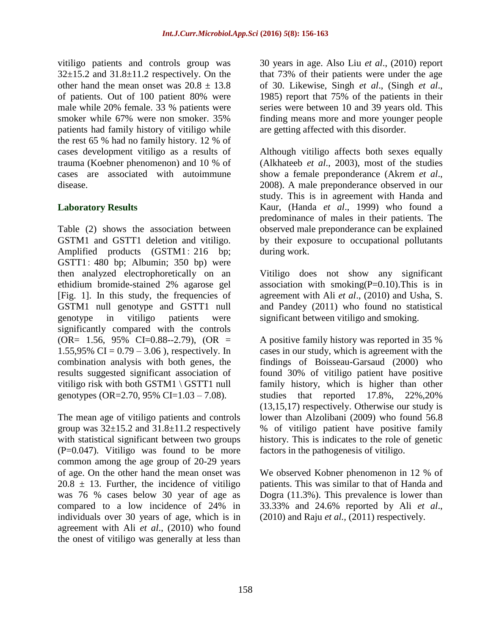vitiligo patients and controls group was  $32\pm15.2$  and  $31.8\pm11.2$  respectively. On the other hand the mean onset was  $20.8 \pm 13.8$ of patients. Out of 100 patient 80% were male while 20% female. 33 % patients were smoker while 67% were non smoker. 35% patients had family history of vitiligo while the rest 65 % had no family history. 12 % of cases development vitiligo as a results of trauma (Koebner phenomenon) and 10 % of cases are associated with autoimmune disease.

# **Laboratory Results**

Table (2) shows the association between GSTM1 and GSTT1 deletion and vitiligo. Amplified products (GSTM1: 216 bp; GSTT1: 480 bp; Albumin; 350 bp) were then analyzed electrophoretically on an ethidium bromide-stained 2% agarose gel [Fig. 1]. In this study, the frequencies of GSTM1 null genotype and GSTT1 null genotype in vitiligo patients were significantly compared with the controls  $(OR = 1.56, 95\% \text{ CI} = 0.88 - 2.79), (OR =$ 1.55,95% CI =  $0.79 - 3.06$ ), respectively. In combination analysis with both genes, the results suggested significant association of vitiligo risk with both GSTM1 \ GSTT1 null genotypes (OR=2.70, 95% CI=1.03 – 7.08).

The mean age of vitiligo patients and controls group was  $32\pm 15.2$  and  $31.8\pm 11.2$  respectively with statistical significant between two groups  $(P=0.047)$ . Vitiligo was found to be more common among the age group of 20-29 years of age. On the other hand the mean onset was  $20.8 \pm 13$ . Further, the incidence of vitiligo was 76 % cases below 30 year of age as compared to a low incidence of 24% in individuals over 30 years of age, which is in agreement with Ali *et al*., (2010) who found the onest of vitiligo was generally at less than 30 years in age. Also Liu *et al*., (2010) report that 73% of their patients were under the age of 30. Likewise, Singh *et al*., (Singh *et al*., 1985) report that 75% of the patients in their series were between 10 and 39 years old. This finding means more and more younger people are getting affected with this disorder.

Although vitiligo affects both sexes equally (Alkhateeb *et al*., 2003), most of the studies show a female preponderance (Akrem *et al*., 2008). A male preponderance observed in our study. This is in agreement with Handa and Kaur, (Handa *et al*., 1999) who found a predominance of males in their patients. The observed male preponderance can be explained by their exposure to occupational pollutants during work.

Vitiligo does not show any significant association with smoking $(P=0.10)$ . This is in agreement with Ali *et al*., (2010) and Usha, S. and Pandey (2011) who found no statistical significant between vitiligo and smoking.

A positive family history was reported in 35 % cases in our study, which is agreement with the findings of Boisseau-Garsaud (2000) who found 30% of vitiligo patient have positive family history, which is higher than other studies that reported 17.8%, 22%,20% (13,15,17) respectively. Otherwise our study is lower than Alzolibani (2009) who found 56.8 % of vitiligo patient have positive family history. This is indicates to the role of genetic factors in the pathogenesis of vitiligo.

We observed Kobner phenomenon in 12 % of patients. This was similar to that of Handa and Dogra (11.3%). This prevalence is lower than 33.33% and 24.6% reported by Ali *et al*., (2010) and Raju *et al.,* (2011) respectively.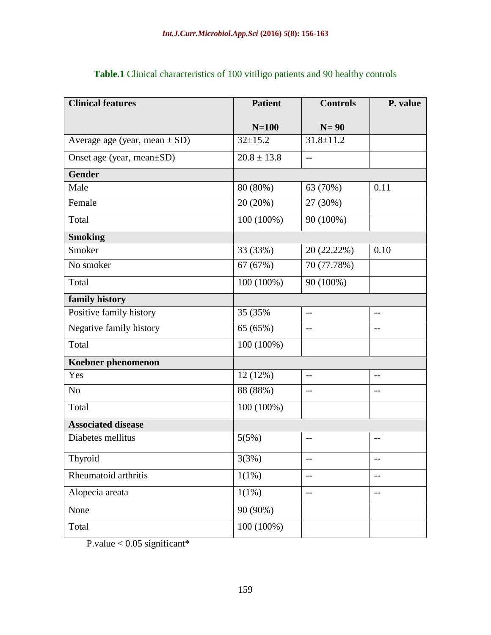| <b>Clinical features</b>          | <b>Patient</b>  | <b>Controls</b> | P. value                 |
|-----------------------------------|-----------------|-----------------|--------------------------|
|                                   | $N=100$         | $N=90$          |                          |
| Average age (year, mean $\pm$ SD) | $32+15.2$       | $31.8 \pm 11.2$ |                          |
| Onset age (year, mean±SD)         | $20.8 \pm 13.8$ | --              |                          |
| <b>Gender</b>                     |                 |                 |                          |
| Male                              | 80 (80%)        | 63 (70%)        | 0.11                     |
| Female                            | 20 (20%)        | 27 (30%)        |                          |
| Total                             | 100 (100%)      | 90 (100%)       |                          |
| <b>Smoking</b>                    |                 |                 |                          |
| Smoker                            | 33 (33%)        | 20 (22.22%)     | 0.10                     |
| No smoker                         | 67 (67%)        | 70 (77.78%)     |                          |
| Total                             | 100 (100%)      | 90 (100%)       |                          |
| family history                    |                 |                 |                          |
| Positive family history           | 35 (35%)        | $-$             | $- -$                    |
| Negative family history           | 65 (65%)        | $-$             | $-$                      |
| Total                             | $100(100\%)$    |                 |                          |
| Koebner phenomenon                |                 |                 |                          |
| Yes                               | 12(12%)         | $-$             | $-$                      |
| N <sub>o</sub>                    | 88 (88%)        | $-$             | $-$                      |
| Total                             | 100 (100%)      |                 |                          |
| <b>Associated disease</b>         |                 |                 |                          |
| Diabetes mellitus                 | 5(5%)           | $-$             | $-$                      |
| Thyroid                           | 3(3%)           | --              | $-$                      |
| Rheumatoid arthritis              | $1(1\%)$        | --              | $-$                      |
| Alopecia areata                   | 1(1%)           | $-$             | $\overline{\phantom{m}}$ |
| None                              | 90 (90%)        |                 |                          |
| Total                             | $100(100\%)$    |                 |                          |

**Table.1** Clinical characteristics of 100 vitiligo patients and 90 healthy controls

P.value  $< 0.05$  significant\*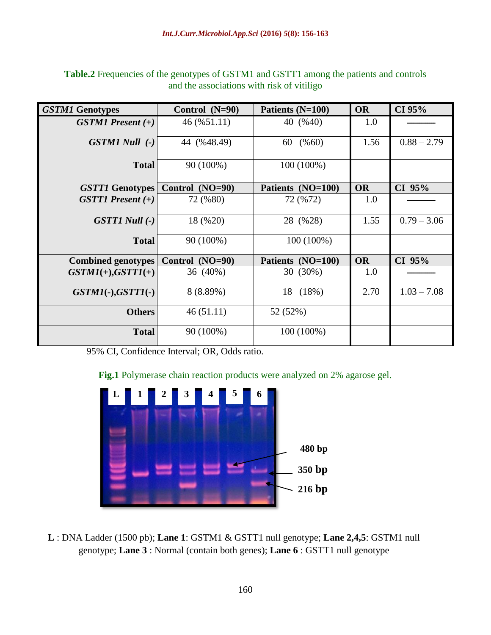| <b>GSTM1 Genotypes</b>    | Control $(N=90)$ | Patients (N=100)  | <b>OR</b> | CI 95%        |
|---------------------------|------------------|-------------------|-----------|---------------|
| $GSTM1$ Present $(+)$     | 46 (%51.11)      | 40 (%40)          | 1.0       |               |
| $GSTM1 Null$ (-)          | 44 (%48.49)      | 60 (% 60)         | 1.56      | $0.88 - 2.79$ |
| <b>Total</b>              | 90 (100%)        | 100 (100%)        |           |               |
| <b>GSTT1 Genotypes</b>    | Control (NO=90)  | Patients (NO=100) | <b>OR</b> | $CI$ 95%      |
| $GSTTI$ Present $(+)$     | 72 (%80)         | 72 (%72)          | 1.0       |               |
| <b>GSTT1 Null (-)</b>     | 18 (%20)         | 28 (%28)          | 1.55      | $0.79 - 3.06$ |
| <b>Total</b>              | 90 (100%)        | 100 (100%)        |           |               |
| <b>Combined genotypes</b> | Control (NO=90)  | Patients (NO=100) | <b>OR</b> | CI 95%        |
| $GSTMI(+)$ , $GSTTI(+)$   | 36 (40%)         | 30 (30%)          | 1.0       |               |
| $GSTM1(-), GSTT1(-)$      | 8 (8.89%)        | 18 (18%)          | 2.70      | $1.03 - 7.08$ |
| <b>Others</b>             | 46(51.11)        | 52 (52%)          |           |               |
| <b>Total</b>              | 90 (100%)        | 100 (100%)        |           |               |

**Table.2** Frequencies of the genotypes of GSTM1 and GSTT1 among the patients and controls and the associations with risk of vitiligo

95% CI, Confidence Interval; OR, Odds ratio.

**Fig.1** Polymerase chain reaction products were analyzed on 2% agarose gel.



**L** : DNA Ladder (1500 pb); **Lane 1**: GSTM1 & GSTT1 null genotype; **Lane 2,4,5**: GSTM1 null genotype; **Lane 3** : Normal (contain both genes); **Lane 6** : GSTT1 null genotype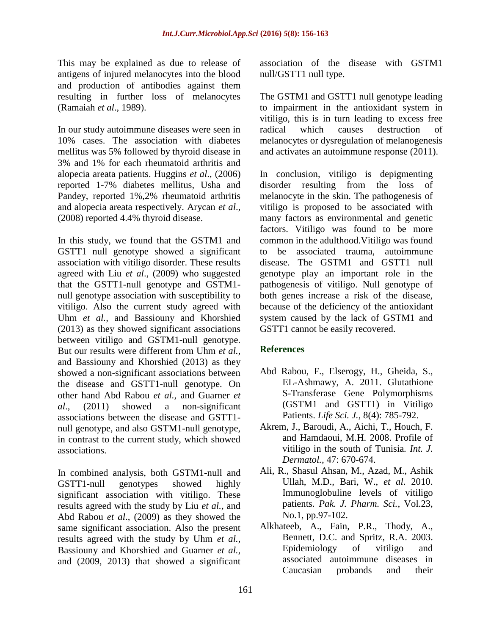This may be explained as due to release of antigens of injured melanocytes into the blood and production of antibodies against them resulting in further loss of melanocytes (Ramaiah *et al*., 1989).

In our study autoimmune diseases were seen in 10% cases. The association with diabetes mellitus was 5% followed by thyroid disease in 3% and 1% for each rheumatoid arthritis and alopecia areata patients. Huggins *et al*., (2006) reported 1-7% diabetes mellitus, Usha and Pandey, reported 1%,2% rheumatoid arthritis and alopecia areata respectively. Arycan *et al*., (2008) reported 4.4% thyroid disease.

In this study, we found that the GSTM1 and GSTT1 null genotype showed a significant association with vitiligo disorder. These results agreed with Liu *et al*., (2009) who suggested that the GSTT1-null genotype and GSTM1 null genotype association with susceptibility to vitiligo. Also the current study agreed with Uhm *et al.,* and Bassiouny and Khorshied (2013) as they showed significant associations between vitiligo and GSTM1-null genotype. But our results were different from Uhm *et al.,* and Bassiouny and Khorshied (2013) as they showed a non-significant associations between the disease and GSTT1-null genotype. On other hand Abd Rabou *et al.,* and Guarner *et al*., (2011) showed a non-significant associations between the disease and GSTT1 null genotype, and also GSTM1-null genotype, in contrast to the current study, which showed associations.

In combined analysis, both GSTM1-null and GSTT1-null genotypes showed highly significant association with vitiligo. These results agreed with the study by Liu *et al.,* and Abd Rabou *et al*., (2009) as they showed the same significant association. Also the present results agreed with the study by Uhm *et al.,* Bassiouny and Khorshied and Guarner *et al.,* and (2009, 2013) that showed a significant association of the disease with GSTM1 null/GSTT1 null type.

The GSTM1 and GSTT1 null genotype leading to impairment in the antioxidant system in vitiligo, this is in turn leading to excess free radical which causes destruction of melanocytes or dysregulation of melanogenesis and activates an autoimmune response (2011).

In conclusion, vitiligo is depigmenting disorder resulting from the loss of melanocyte in the skin. The pathogenesis of vitiligo is proposed to be associated with many factors as environmental and genetic factors. Vitiligo was found to be more common in the adulthood.Vitiligo was found to be associated trauma, autoimmune disease. The GSTM1 and GSTT1 null genotype play an important role in the pathogenesis of vitiligo. Null genotype of both genes increase a risk of the disease, because of the deficiency of the antioxidant system caused by the lack of GSTM1 and GSTT1 cannot be easily recovered.

# **References**

- Abd Rabou, F., Elserogy, H., Gheida, S., EL-Ashmawy, A. 2011. Glutathione S-Transferase Gene Polymorphisms (GSTM1 and GSTT1) in Vitiligo Patients. *Life Sci. J.,* 8(4): 785-792.
- Akrem, J., Baroudi, A., Aichi, T., Houch, F. and Hamdaoui, M.H. 2008. Profile of vitiligo in the south of Tunisia*. Int. J. Dermatol.,* 47: 670-674.
- Ali, R., Shasul Ahsan, M., Azad, M., Ashik Ullah, M.D., Bari, W., *et al*. 2010. Immunoglobuline levels of vitiligo patients. *Pak. J. Pharm. Sci.,* Vol.23, No.1, pp.97-102.
- Alkhateeb, A., Fain, P.R., Thody, A., Bennett, D.C. and Spritz, R.A. 2003. Epidemiology of vitiligo and associated autoimmune diseases in Caucasian probands and their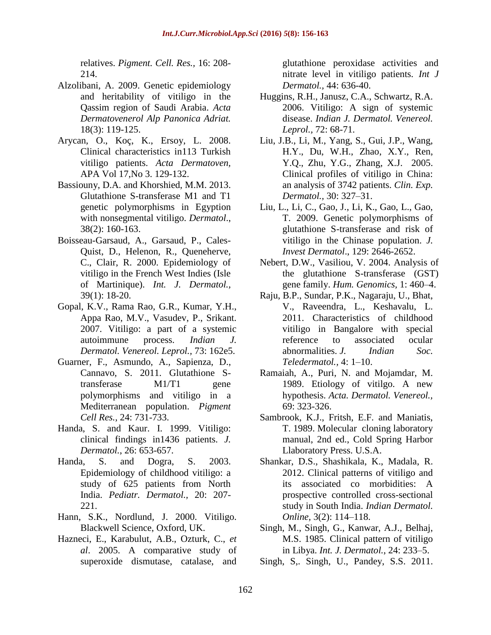relatives. *Pigment. Cell. Res.,* 16: 208- 214.

- Alzolibani, A. 2009. Genetic epidemiology and heritability of vitiligo in the Qassim region of Saudi Arabia. *Acta Dermatovenerol Alp Panonica Adriat.*  18(3): 119-125.
- Arycan, O., Koç, K., Ersoy, L. 2008. Clinical characteristics in113 Turkish vitiligo patients. *Acta Dermatoven,* APA Vol 17,No 3. 129-132.
- Bassiouny, D.A. and Khorshied, M.M. 2013. Glutathione S-transferase M1 and T1 genetic polymorphisms in Egyption with nonsegmental vitiligo. *Dermatol*., 38(2): 160-163.
- Boisseau-Garsaud, A., Garsaud, P., Cales-Quist, D., Helenon, R., Queneherve, C., Clair, R. 2000. Epidemiology of vitiligo in the French West Indies (Isle of Martinique). *Int. J. Dermatol.,* 39(1): 18-20.
- Gopal, K.V., Rama Rao, G.R., Kumar, Y.H., Appa Rao, M.V., Vasudev, P., Srikant. 2007. Vitiligo: a part of a systemic autoimmune process. *Indian J. Dermatol. Venereol. Leprol.,* 73: 162e5.
- Guarner, F., Asmundo, A., Sapienza, D., Cannavo, S. 2011. Glutathione Stransferase M1/T1 gene polymorphisms and vitiligo in a Mediterranean population. *Pigment Cell Res.,* 24: 731-733.
- Handa, S. and Kaur. I. 1999. Vitiligo: clinical findings in1436 patients. *J. Dermatol.*, 26: 653-657.
- Handa, S. and Dogra, S. 2003. Epidemiology of childhood vitiligo: a study of 625 patients from North India. *Pediatr. Dermatol.,* 20: 207- 221.
- Hann, S.K., Nordlund, J. 2000. Vitiligo. Blackwell Science, Oxford, UK.
- Hazneci, E., Karabulut, A.B., Ozturk, C., *et al*. 2005. A comparative study of superoxide dismutase, catalase, and

glutathione peroxidase activities and nitrate level in vitiligo patients. *Int J Dermatol.,* 44: 636-40.

- Huggins, R.H., Janusz, C.A., Schwartz, R.A. 2006. Vitiligo: A sign of systemic disease. *Indian J. Dermatol. Venereol. Leprol.,* 72: 68-71.
- Liu, J.B., Li, M., Yang, S., Gui, J.P., Wang, H.Y., Du, W.H., Zhao, X.Y., Ren, Y.Q., Zhu, Y.G., Zhang, X.J. 2005. Clinical profiles of vitiligo in China: an analysis of 3742 patients. *Clin. Exp. Dermatol.,* 30: 327–31.
- Liu, L., Li, C., Gao, J., Li, K., Gao, L., Gao, T. 2009. Genetic polymorphisms of glutathione S-transferase and risk of vitiligo in the Chinase population. *J. Invest Dermatol*., 129: 2646-2652.
- Nebert, D.W., Vasiliou, V. 2004. Analysis of the glutathione S-transferase (GST) gene family. *Hum. Genomics,* 1: 460–4.
- Raju, B.P., Sundar, P.K., Nagaraju, U., Bhat, V., Raveendra, L., Keshavalu, L. 2011. Characteristics of childhood vitiligo in Bangalore with special reference to associated ocular abnormalities. *J. Indian Soc. Teledermatol.,* 4: 1–10.
- Ramaiah, A., Puri, N. and Mojamdar, M. 1989. Etiology of vitilgo. A new hypothesis. *Acta. Dermatol. Venereol.,*  69: 323-326.
- Sambrook, K.J., Fritsh, E.F. and Maniatis, T. 1989. Molecular cloning laboratory manual, 2nd ed., Cold Spring Harbor Llaboratory Press. U.S.A.
- Shankar, D.S., Shashikala, K., Madala, R. 2012. Clinical patterns of vitiligo and its associated co morbidities: A prospective controlled cross-sectional study in South India. *Indian Dermatol. Online,* 3(2): 114–118.
- Singh, M., Singh, G., Kanwar, A.J., Belhaj, M.S. 1985. Clinical pattern of vitiligo in Libya. *Int. J. Dermatol.*, 24: 233–5.
- Singh, S,. Singh, U., Pandey, S.S. 2011.